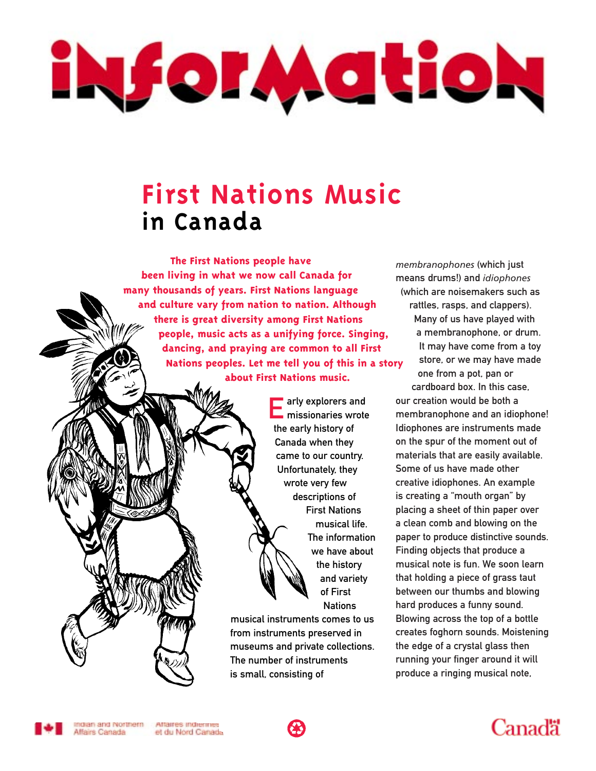# iNforMatioN

### **First Nations Music in Canada**

**The First Nations people have been living in what we now call Canada for many thousands of years. First Nations language and culture vary from nation to nation. Although there is great diversity among First Nations people, music acts as a unifying force. Singing, dancing, and praying are common to all First Nations peoples. Let me tell you of this in a story about First Nations music.**

> **Early explorers and<br>Emissionaries wrote** the early history of Canada when they came to our country. Unfortunately, they wrote very few descriptions of First Nations musical life. The information we have about the history and variety of First **Nations**

musical instruments comes to us from instruments preserved in museums and private collections. The number of instruments is small, consisting of

*membranophones* (which just means drums!) and *idiophones* (which are noisemakers such as rattles, rasps, and clappers). Many of us have played with a membranophone, or drum. It may have come from a toy store, or we may have made

one from a pot, pan or cardboard box. In this case, our creation would be both a membranophone and an idiophone! Idiophones are instruments made on the spur of the moment out of materials that are easily available. Some of us have made other creative idiophones. An example is creating a "mouth organ" by placing a sheet of thin paper over a clean comb and blowing on the paper to produce distinctive sounds. Finding objects that produce a musical note is fun. We soon learn that holding a piece of grass taut between our thumbs and blowing hard produces a funny sound. Blowing across the top of a bottle creates foghorn sounds. Moistening the edge of a crystal glass then running your finger around it will produce a ringing musical note,



Indian and Northern Affaires indiennes Affairs Canada et du Nord Canada



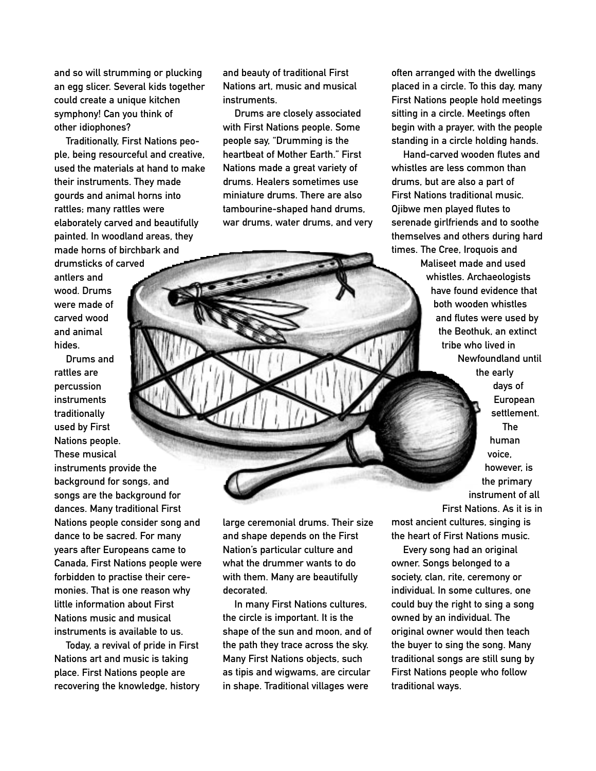and so will strumming or plucking an egg slicer. Several kids together could create a unique kitchen symphony! Can you think of other idiophones?

Traditionally, First Nations people, being resourceful and creative, used the materials at hand to make their instruments. They made gourds and animal horns into rattles; many rattles were elaborately carved and beautifully painted. In woodland areas, they made horns of birchbark and

drumsticks of carved antlers and wood. Drums were made of carved wood and animal hides.

Drums and rattles are percussion instruments traditionally used by First Nations people. These musical

instruments provide the background for songs, and songs are the background for dances. Many traditional First Nations people consider song and dance to be sacred. For many years after Europeans came to Canada, First Nations people were forbidden to practise their ceremonies. That is one reason why little information about First Nations music and musical instruments is available to us.

Today, a revival of pride in First Nations art and music is taking place. First Nations people are recovering the knowledge, history and beauty of traditional First Nations art, music and musical instruments.

Drums are closely associated with First Nations people. Some people say, "Drumming is the heartbeat of Mother Earth." First Nations made a great variety of drums. Healers sometimes use miniature drums. There are also tambourine-shaped hand drums, war drums, water drums, and very often arranged with the dwellings placed in a circle. To this day, many First Nations people hold meetings sitting in a circle. Meetings often begin with a prayer, with the people standing in a circle holding hands.

Hand-carved wooden flutes and whistles are less common than drums, but are also a part of First Nations traditional music. Ojibwe men played flutes to serenade girlfriends and to soothe themselves and others during hard times. The Cree, Iroquois and

> Maliseet made and used whistles. Archaeologists have found evidence that both wooden whistles and flutes were used by the Beothuk, an extinct tribe who lived in Newfoundland until the early days of European settlement. The human voice, however, is

> > the primary instrument of all

large ceremonial drums. Their size and shape depends on the First Nation's particular culture and what the drummer wants to do with them. Many are beautifully decorated.

In many First Nations cultures, the circle is important. It is the shape of the sun and moon, and of the path they trace across the sky. Many First Nations objects, such as tipis and wigwams, are circular in shape. Traditional villages were

First Nations. As it is in most ancient cultures, singing is the heart of First Nations music.

Every song had an original owner. Songs belonged to a society, clan, rite, ceremony or individual. In some cultures, one could buy the right to sing a song owned by an individual. The original owner would then teach the buyer to sing the song. Many traditional songs are still sung by First Nations people who follow traditional ways.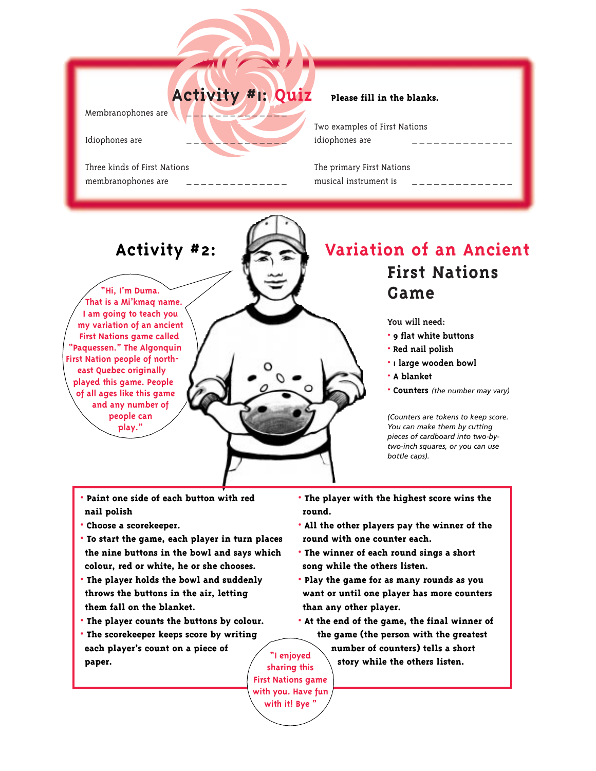## $\overline{\phantom{a}}$   $\overline{\phantom{a}}$   $\overline{\phantom{a}}$   $\overline{\phantom{a}}$   $\overline{\phantom{a}}$   $\overline{\phantom{a}}$   $\overline{\phantom{a}}$   $\overline{\phantom{a}}$   $\overline{\phantom{a}}$   $\overline{\phantom{a}}$   $\overline{\phantom{a}}$   $\overline{\phantom{a}}$   $\overline{\phantom{a}}$   $\overline{\phantom{a}}$   $\overline{\phantom{a}}$   $\overline{\phantom{a}}$   $\overline{\phantom{a}}$   $\overline{\phantom{a}}$   $\overline{\$ rtivity #1: Qu **Activity #**1**: Quiz Please fill in the blanks.**

Membranophones are

Idiophones are

Three kinds of First Nations membranophones are

Two examples of First Nations idiophones are

The primary First Nations musical instrument is

#### **Activity #2:**

**<Hi, I'm Duma. That is a Mi'kmaq name. I am going to teach you my variation of an ancient First Nations game called "Paquessen." The Algonquin First Nation people of northeast Quebec originally played this game. People of all ages like this game and any number of people can play.>**

#### **First Nations Game Variation of an Ancient**

**You will need:**

- **9 flat white buttons**
- **Red nail polish**
- **1 large wooden bowl**
- **A blanket**
- **Counters** *(the number may vary)*

*(Counters are tokens to keep score. You can make them by cutting pieces of cardboard into two-bytwo-inch squares, or you can use bottle caps).*

- **Paint one side of each button with red nail polish**
- **Choose a scorekeeper.**
- **To start the game, each player in turn places the nine buttons in the bowl and says which colour, red or white, he or she chooses.**
- **• The player holds the bowl and suddenly throws the buttons in the air, letting them fall on the blanket.**
- **The player counts the buttons by colour.**
- **The scorekeeper keeps score by writing each player's count on a piece of paper.**
- **The player with the highest score wins the round.**
- **All the other players pay the winner of the round with one counter each.**
- **The winner of each round sings a short song while the others listen.**
- **Play the game for as many rounds as you want or until one player has more counters than any other player.**
- **At the end of the game, the final winner of the game (the person with the greatest**
	- **number of counters) tells a short story while the others listen.**

**sharing this First Nations game with you. Have fun with it! Bye >**

**<I enjoyed**